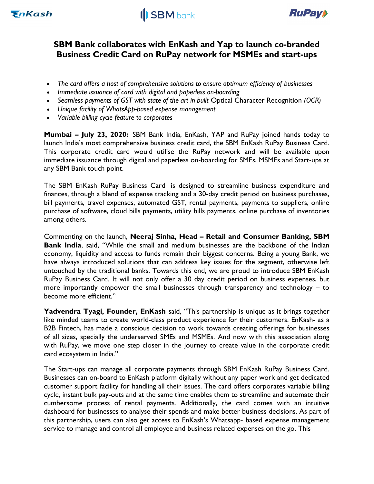



# SBM Bank collaborates with EnKash and Yap to launch co-branded Business Credit Card on RuPay network for MSMEs and start-ups

- The card offers a host of comprehensive solutions to ensure optimum efficiency of businesses
- Immediate issuance of card with digital and paperless on-boarding
- Seamless payments of GST with state-of-the-art in-built Optical Character Recognition (OCR)
- Unique facility of WhatsApp-based expense management
- Variable billing cycle feature to corporates

Mumbai – July 23, 2020: SBM Bank India, EnKash, YAP and RuPay joined hands today to launch India's most comprehensive business credit card, the SBM EnKash RuPay Business Card. This corporate credit card would utilise the RuPay network and will be available upon immediate issuance through digital and paperless on-boarding for SMEs, MSMEs and Start-ups at any SBM Bank touch point.

The SBM EnKash RuPay Business Card is designed to streamline business expenditure and finances, through a blend of expense tracking and a 30-day credit period on business purchases, bill payments, travel expenses, automated GST, rental payments, payments to suppliers, online purchase of software, cloud bills payments, utility bills payments, online purchase of inventories among others.

Commenting on the launch, Neeraj Sinha, Head – Retail and Consumer Banking, SBM Bank India, said, "While the small and medium businesses are the backbone of the Indian economy, liquidity and access to funds remain their biggest concerns. Being a young Bank, we have always introduced solutions that can address key issues for the segment, otherwise left untouched by the traditional banks. Towards this end, we are proud to introduce SBM EnKash RuPay Business Card. It will not only offer a 30 day credit period on business expenses, but more importantly empower the small businesses through transparency and technology – to become more efficient."

Yadvendra Tyagi, Founder, EnKash said, "This partnership is unique as it brings together like minded teams to create world-class product experience for their customers. EnKash- as a B2B Fintech, has made a conscious decision to work towards creating offerings for businesses of all sizes, specially the underserved SMEs and MSMEs. And now with this association along with RuPay, we move one step closer in the journey to create value in the corporate credit card ecosystem in India."

The Start-ups can manage all corporate payments through SBM EnKash RuPay Business Card. Businesses can on-board to EnKash platform digitally without any paper work and get dedicated customer support facility for handling all their issues. The card offers corporates variable billing cycle, instant bulk pay-outs and at the same time enables them to streamline and automate their cumbersome process of rental payments. Additionally, the card comes with an intuitive dashboard for businesses to analyse their spends and make better business decisions. As part of this partnership, users can also get access to EnKash's Whatsapp- based expense management service to manage and control all employee and business related expenses on the go. This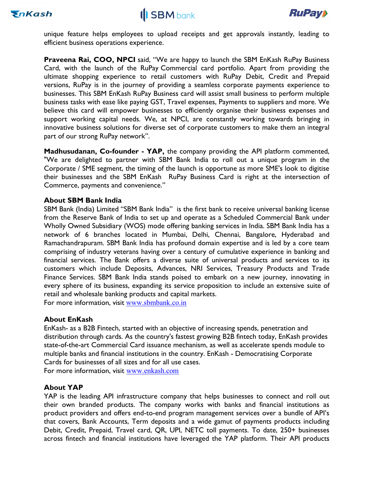





unique feature helps employees to upload receipts and get approvals instantly, leading to efficient business operations experience.

**Praveena Rai, COO, NPCI** said, "We are happy to launch the SBM EnKash RuPay Business Card, with the launch of the RuPay Commercial card portfolio. Apart from providing the ultimate shopping experience to retail customers with RuPay Debit, Credit and Prepaid versions, RuPay is in the journey of providing a seamless corporate payments experience to businesses. This SBM EnKash RuPay Business card will assist small business to perform multiple business tasks with ease like paying GST, Travel expenses, Payments to suppliers and more. We believe this card will empower businesses to efficiently organise their business expenses and support working capital needs. We, at NPCI, are constantly working towards bringing in innovative business solutions for diverse set of corporate customers to make them an integral part of our strong RuPay network".

Madhusudanan, Co-founder - YAP, the company providing the API platform commented, "We are delighted to partner with SBM Bank India to roll out a unique program in the Corporate / SME segment, the timing of the launch is opportune as more SME's look to digitise their businesses and the SBM EnKash RuPay Business Card is right at the intersection of Commerce, payments and convenience."

#### About SBM Bank India

SBM Bank (India) Limited "SBM Bank India" is the first bank to receive universal banking license from the Reserve Bank of India to set up and operate as a Scheduled Commercial Bank under Wholly Owned Subsidiary (WOS) mode offering banking services in India. SBM Bank India has a network of 6 branches located in Mumbai, Delhi, Chennai, Bangalore, Hyderabad and Ramachandrapuram. SBM Bank India has profound domain expertise and is led by a core team comprising of industry veterans having over a century of cumulative experience in banking and financial services. The Bank offers a diverse suite of universal products and services to its customers which include Deposits, Advances, NRI Services, Treasury Products and Trade Finance Services. SBM Bank India stands poised to embark on a new journey, innovating in every sphere of its business, expanding its service proposition to include an extensive suite of retail and wholesale banking products and capital markets.

For more information, visit www.sbmbank.co.in

## About EnKash

EnKash- as a B2B Fintech, started with an objective of increasing spends, penetration and distribution through cards. As the country's fastest growing B2B fintech today, EnKash provides state-of-the-art Commercial Card issuance mechanism, as well as accelerate spends module to multiple banks and financial institutions in the country. EnKash - Democratising Corporate Cards for businesses of all sizes and for all use cases.

For more information, visit www.enkash.com

#### About YAP

YAP is the leading API infrastructure company that helps businesses to connect and roll out their own branded products. The company works with banks and financial institutions as product providers and offers end-to-end program management services over a bundle of API's that covers, Bank Accounts, Term deposits and a wide gamut of payments products including Debit, Credit, Prepaid, Travel card, QR, UPI, NETC toll payments. To date, 250+ businesses across fintech and financial institutions have leveraged the YAP platform. Their API products